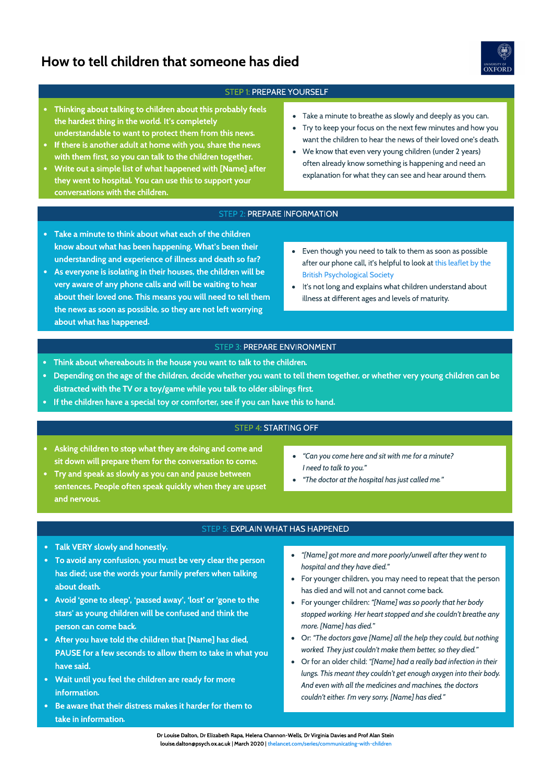# How to tell children that someone has died



### STEP 1: PREPARE YOURSELF

- Thinking about talking to children about this probably feels the hardest thing in the world. It's completely understandable to want to protect them from this news.
- If there is another adult at home with you, share the news with them first, so you can talk to the children together.
- Write out a simple list of what happened with [Name] after they went to hospital. You can use this to support your conversations with the children.
- Take a minute to breathe as slowly and deeply as you can.
- Try to keep your focus on the next few minutes and how you want the children to hear the news of their loved one's death.
- We know that even very young children (under 2 years) often already know something is happening and need an explanation for what they can see and hear around them.

#### STEP 2: PREPARE INFORMATION

- Take a minute to think about what each of the children know about what has been happening. What's been their understanding and experience of illness and death so far?
- As everyone is isolating in their houses, the children will be very aware of any phone calls and will be waiting to hear about their loved one. This means you will need to tell them the news as soon as possible, so they are not left worrying about what has happened.
- Even though you need to talk to them as soon as possible [after our phone call, it's helpful to look at this leaflet by the](https://www.bps.org.uk/sites/www.bps.org.uk/files/Policy/Policy%20-%20Files/Talking%20to%20children%20about%20illness.pdf)  British Psychological Society
- $\bullet$ It's not long and explains what children understand about illness at different ages and levels of maturity.

#### STEP 3: PREPARE ENVIRONMENT

- Think about whereabouts in the house you want to talk to the children.
- Depending on the age of the children, decide whether you want to tell them together, or whether very young children can be distracted with the TV or a toy/game while you talk to older siblings first.
- If the children have a special toy or comforter, see if you can have this to hand.

## STEP 4: STARTING OFF

- Asking children to stop what they are doing and come and sit down will prepare them for the conversation to come.
- Try and speak as slowly as you can and pause between sentences. People often speak quickly when they are upset and nervous.
- "Can you come here and sit with me for a minute? I need to talk to you."
- "The doctor at the hospital has just called me."

### STEP 5: EXPLAIN WHAT HAS HAPPENED

- Talk VERY slowly and honestly.
- To avoid any confusion, you must be very clear the person has died; use the words your family prefers when talking about death.
- Avoid 'gone to sleep', 'passed away', 'lost' or 'gone to the stars' as young children will be confused and think the person can come back.
- After you have told the children that [Name] has died, PAUSE for a few seconds to allow them to take in what you have said.
- Wait until you feel the children are ready for more information.
- Be aware that their distress makes it harder for them to take in information.
- "[Name] got more and more poorly/unwell after they went to hospital and they have died."
- For younger children, you may need to repeat that the person has died and will not and cannot come back.
- For younger children: "[Name] was so poorly that her body stopped working. Her heart stopped and she couldn't breathe any more. [Name] has died."
- Or: "The doctors gave [Name] all the help they could, but nothing worked. They just couldn't make them better, so they died."
- Or for an older child: "[Name] had a really bad infection in their lungs. This meant they couldn't get enough oxygen into their body. And even with all the medicines and machines, the doctors couldn't either. I'm very sorry, [Name] has died."

Dr Louise Dalton, Dr Elizabeth Rapa, Helena Channon-Wells, Dr Virginia Davies and Prof Alan Stein louise.dalton@psych.ox.ac.uk | March 2020 | [thelancet.com/series/communicating-with-children](http://www.thelancet.com/series/communicating-with-children)